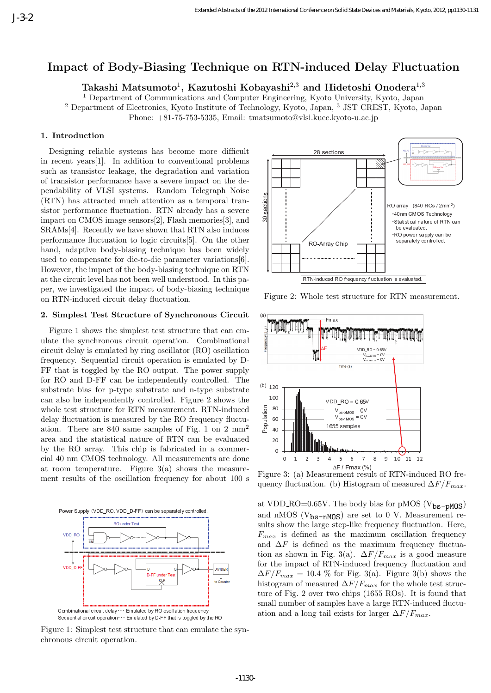# **Impact of Body-Biasing Technique on RTN-induced Delay Fluctuation**

 $\mathrm{Takashi\ Matsumoto^{1},\ Kazutoshi\ Kobayashi^{2,3}}$  and Hidetoshi Onodera<sup>1,3</sup>

<sup>1</sup> Department of Communications and Computer Engineering, Kyoto University, Kyoto, Japan <sup>2</sup> Department of Electronics, Kyoto Institute of Technology, Kyoto, Japan, <sup>3</sup> JST CREST, Kyoto, Japan

Phone: +81-75-753-5335, Email: tmatsumoto@vlsi.kuee.kyoto-u.ac.jp

#### **1. Introduction**

Designing reliable systems has become more difficult in recent years[1]. In addition to conventional problems such as transistor leakage, the degradation and variation of transistor performance have a severe impact on the dependability of VLSI systems. Random Telegraph Noise (RTN) has attracted much attention as a temporal transistor performance fluctuation. RTN already has a severe impact on CMOS image sensors[2], Flash memories[3], and SRAMs[4]. Recently we have shown that RTN also induces performance fluctuation to logic circuits[5]. On the other hand, adaptive body-biasing technique has been widely used to compensate for die-to-die parameter variations[6]. However, the impact of the body-biasing technique on RTN at the circuit level has not been well understood. In this paper, we investigated the impact of body-biasing technique on RTN-induced circuit delay fluctuation.

### **2. Simplest Test Structure of Synchronous Circuit**

Figure 1 shows the simplest test structure that can emulate the synchronous circuit operation. Combinational circuit delay is emulated by ring oscillator (RO) oscillation frequency. Sequential circuit operation is emulated by D-FF that is toggled by the RO output. The power supply for RO and D-FF can be independently controlled. The substrate bias for p-type substrate and n-type substrate can also be independently controlled. Figure 2 shows the whole test structure for RTN measurement. RTN-induced delay fluctuation is measured by the RO frequency fluctuation. There are 840 same samples of Fig. 1 on 2 mm<sup>2</sup> area and the statistical nature of RTN can be evaluated by the RO array. This chip is fabricated in a commercial 40 nm CMOS technology. All measurements are done at room temperature. Figure  $3(a)$  shows the measurement results of the oscillation frequency for about 100 s



Figure 1: Simplest test structure that can emulate the synchronous circuit operation.



Figure 2: Whole test structure for RTN measurement.



Figure 3: (a) Measurement result of RTN-induced RO frequency fluctuation. (b) Histogram of measured  $\Delta F/F_{max}$ .

at VDD\_RO= $0.65V$ . The body bias for pMOS ( $V_{bs-pMOS}$ ) and nMOS ( $V_{bs-nMOS}$ ) are set to 0 V. Measurement results show the large step-like frequency fluctuation. Here,  $F_{max}$  is defined as the maximum oscillation frequency and  $\Delta F$  is defined as the maximum frequency fluctuation as shown in Fig. 3(a).  $\Delta F/F_{max}$  is a good measure for the impact of RTN-induced frequency fluctuation and  $\Delta F/F_{max} = 10.4$  % for Fig. 3(a). Figure 3(b) shows the histogram of measured  $\Delta F/F_{max}$  for the whole test structure of Fig. 2 over two chips (1655 ROs). It is found that small number of samples have a large RTN-induced fluctuation and a long tail exists for larger  $\Delta F/F_{max}$ .